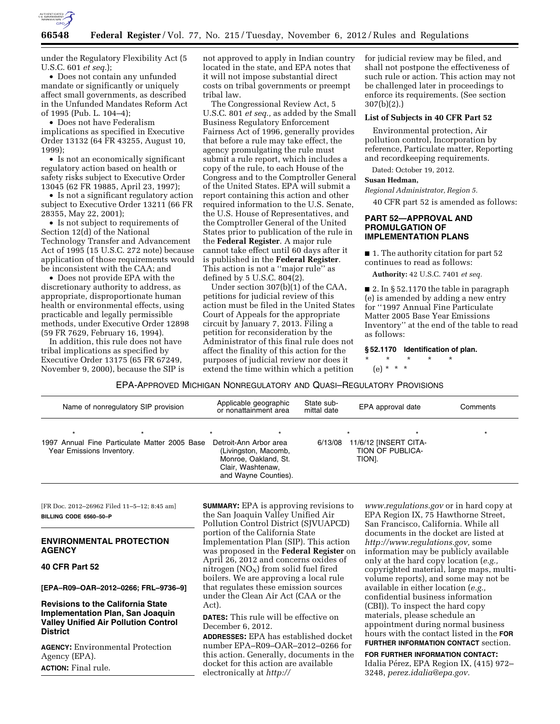

under the Regulatory Flexibility Act (5 U.S.C. 601 *et seq.*);

• Does not contain any unfunded mandate or significantly or uniquely affect small governments, as described in the Unfunded Mandates Reform Act of 1995 (Pub. L. 104–4);

• Does not have Federalism implications as specified in Executive Order 13132 (64 FR 43255, August 10, 1999);

• Is not an economically significant regulatory action based on health or safety risks subject to Executive Order 13045 (62 FR 19885, April 23, 1997);

• Is not a significant regulatory action subject to Executive Order 13211 (66 FR 28355, May 22, 2001);

• Is not subject to requirements of Section 12(d) of the National Technology Transfer and Advancement Act of 1995 (15 U.S.C. 272 note) because application of those requirements would be inconsistent with the CAA; and

• Does not provide EPA with the discretionary authority to address, as appropriate, disproportionate human health or environmental effects, using practicable and legally permissible methods, under Executive Order 12898 (59 FR 7629, February 16, 1994).

In addition, this rule does not have tribal implications as specified by Executive Order 13175 (65 FR 67249, November 9, 2000), because the SIP is not approved to apply in Indian country located in the state, and EPA notes that it will not impose substantial direct costs on tribal governments or preempt tribal law.

The Congressional Review Act, 5 U.S.C. 801 *et seq.,* as added by the Small Business Regulatory Enforcement Fairness Act of 1996, generally provides that before a rule may take effect, the agency promulgating the rule must submit a rule report, which includes a copy of the rule, to each House of the Congress and to the Comptroller General of the United States. EPA will submit a report containing this action and other required information to the U.S. Senate, the U.S. House of Representatives, and the Comptroller General of the United States prior to publication of the rule in the **Federal Register**. A major rule cannot take effect until 60 days after it is published in the **Federal Register**. This action is not a ''major rule'' as defined by 5 U.S.C.  $804(2)$ .

Under section 307(b)(1) of the CAA, petitions for judicial review of this action must be filed in the United States Court of Appeals for the appropriate circuit by January 7, 2013. Filing a petition for reconsideration by the Administrator of this final rule does not affect the finality of this action for the purposes of judicial review nor does it extend the time within which a petition

for judicial review may be filed, and shall not postpone the effectiveness of such rule or action. This action may not be challenged later in proceedings to enforce its requirements. (See section 307(b)(2).)

### **List of Subjects in 40 CFR Part 52**

Environmental protection, Air pollution control, Incorporation by reference, Particulate matter, Reporting and recordkeeping requirements.

Dated: October 19, 2012.

## **Susan Hedman,**

*Regional Administrator, Region 5.* 

40 CFR part 52 is amended as follows:

## **PART 52—APPROVAL AND PROMULGATION OF IMPLEMENTATION PLANS**

■ 1. The authority citation for part 52 continues to read as follows:

**Authority:** 42 U.S.C. 7401 *et seq.* 

■ 2. In § 52.1170 the table in paragraph (e) is amended by adding a new entry for ''1997 Annual Fine Particulate Matter 2005 Base Year Emissions Inventory'' at the end of the table to read as follows:

**§ 52.1170 Identification of plan.** 

\* \* \* \* \*

(e) \* \* \*

EPA-APPROVED MICHIGAN NONREGULATORY AND QUASI–REGULATORY PROVISIONS

| Name of nonregulatory SIP provision                                                   |  | Applicable geographic<br>or nonattainment area                                                                                 | State sub-<br>mittal date | EPA approval date                                              | Comments |
|---------------------------------------------------------------------------------------|--|--------------------------------------------------------------------------------------------------------------------------------|---------------------------|----------------------------------------------------------------|----------|
| $\star$<br>1997 Annual Fine Particulate Matter 2005 Base<br>Year Emissions Inventory. |  | $\star$<br>Detroit-Ann Arbor area<br>(Livingston, Macomb,<br>Monroe, Oakland, St.<br>Clair, Washtenaw,<br>and Wayne Counties). | 6/13/08                   | $\star$<br>11/6/12 [INSERT CITA-<br>TION OF PUBLICA-<br>TION]. |          |

[FR Doc. 2012–26962 Filed 11–5–12; 8:45 am] **BILLING CODE 6560–50–P** 

# **ENVIRONMENTAL PROTECTION AGENCY**

## **40 CFR Part 52**

**[EPA–R09–OAR–2012–0266; FRL–9736–9]** 

# **Revisions to the California State Implementation Plan, San Joaquin Valley Unified Air Pollution Control District**

**AGENCY:** Environmental Protection Agency (EPA). **ACTION:** Final rule.

**SUMMARY:** EPA is approving revisions to the San Joaquin Valley Unified Air Pollution Control District (SJVUAPCD) portion of the California State Implementation Plan (SIP). This action was proposed in the **Federal Register** on April 26, 2012 and concerns oxides of nitrogen  $(NO_X)$  from solid fuel fired boilers. We are approving a local rule that regulates these emission sources under the Clean Air Act (CAA or the Act).

**DATES:** This rule will be effective on December 6, 2012.

**ADDRESSES:** EPA has established docket number EPA–R09–OAR–2012–0266 for this action. Generally, documents in the docket for this action are available electronically at *[http://](http://www.regulations.gov)* 

*[www.regulations.gov](http://www.regulations.gov)* or in hard copy at EPA Region IX, 75 Hawthorne Street, San Francisco, California. While all documents in the docket are listed at *[http://www.regulations.gov,](http://www.regulations.gov)* some information may be publicly available only at the hard copy location (*e.g.,*  copyrighted material, large maps, multivolume reports), and some may not be available in either location (*e.g.,*  confidential business information (CBI)). To inspect the hard copy materials, please schedule an appointment during normal business hours with the contact listed in the **FOR FURTHER INFORMATION CONTACT** section.

**FOR FURTHER INFORMATION CONTACT:**  Idalia Pérez, EPA Region IX, (415) 972-3248, *[perez.idalia@epa.gov.](mailto:perez.idalia@epa.gov)*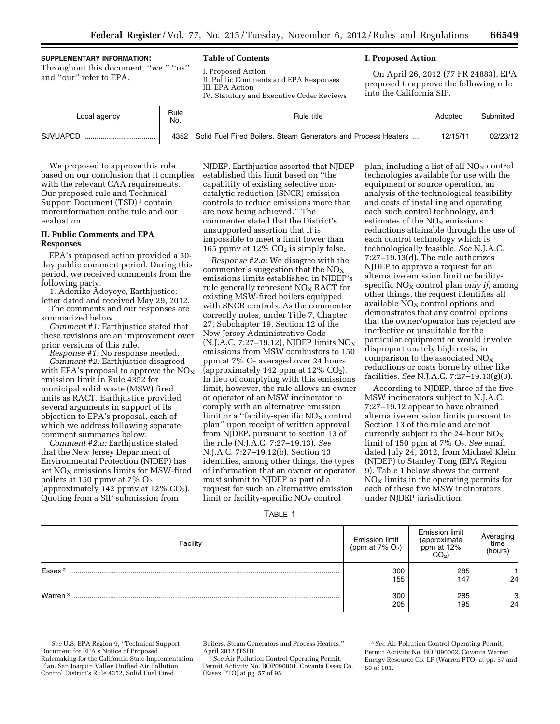#### **SUPPLEMENTARY INFORMATION:**

Throughout this document, ''we,'' ''us'' and ''our'' refer to EPA.

## **Table of Contents**

I. Proposed Action II. Public Comments and EPA Responses

III. EPA Action

IV. Statutory and Executive Order Reviews

# **I. Proposed Action**

On April 26, 2012 (77 FR 24883), EPA proposed to approve the following rule into the California SIP.

| Local agency | Rule<br>No. | Rule title                                                     | Adopted  | Submitted |
|--------------|-------------|----------------------------------------------------------------|----------|-----------|
| SJVUAPCD     | 4352        | Solid Fuel Fired Boilers, Steam Generators and Process Heaters | 12/15/11 | 02/23/12  |

We proposed to approve this rule based on our conclusion that it complies with the relevant CAA requirements. Our proposed rule and Technical Support Document (TSD)<sup>1</sup> contain moreinformation onthe rule and our evaluation.

## **II. Public Comments and EPA Responses**

EPA's proposed action provided a 30 day public comment period. During this period, we received comments from the following party.

1. Adenike Adeyeye, Earthjustice; letter dated and received May 29, 2012.

The comments and our responses are summarized below.

*Comment #1:* Earthjustice stated that these revisions are an improvement over prior versions of this rule.

*Response #1:* No response needed.

*Comment #2:* Earthjustice disagreed with EPA's proposal to approve the  $NO<sub>x</sub>$ emission limit in Rule 4352 for municipal solid waste (MSW) fired units as RACT. Earthjustice provided several arguments in support of its objection to EPA's proposal, each of which we address following separate comment summaries below.

*Comment #2.a:* Earthjustice stated that the New Jersey Department of Environmental Protection (NJDEP) has set  $NO<sub>x</sub>$  emissions limits for MSW-fired boilers at 150 ppmv at 7%  $O_2$ (approximately 142 ppmv at  $12\%$  CO<sub>2</sub>). Quoting from a SIP submission from

NJDEP, Earthjustice asserted that NJDEP established this limit based on ''the capability of existing selective noncatalytic reduction (SNCR) emission controls to reduce emissions more than are now being achieved.'' The commenter stated that the District's unsupported assertion that it is impossible to meet a limit lower than 165 ppmv at 12%  $CO<sub>2</sub>$  is simply false.

*Response #2.a:* We disagree with the commenter's suggestion that the  $NO<sub>x</sub>$ emissions limits established in NJDEP's rule generally represent  $NO<sub>x</sub> RACT$  for existing MSW-fired boilers equipped with SNCR controls. As the commenter correctly notes, under Title 7, Chapter 27, Subchapter 19, Section 12 of the New Jersey Administrative Code (N.J.A.C. 7:27–19.12), NJDEP limits  $NO<sub>X</sub>$ emissions from MSW combustors to 150 ppm at  $7\%$  O<sub>2</sub> averaged over 24 hours (approximately 142 ppm at  $12\%$  CO<sub>2</sub>). In lieu of complying with this emissions limit, however, the rule allows an owner or operator of an MSW incinerator to comply with an alternative emission limit or a "facility-specific  $NO<sub>X</sub>$  control plan'' upon receipt of written approval from NJDEP, pursuant to section 13 of the rule (N.J.A.C. 7:27–19.13). *See*  N.J.A.C. 7:27–19.12(b). Section 13 identifies, among other things, the types of information that an owner or operator must submit to NJDEP as part of a request for such an alternative emission limit or facility-specific  $NO<sub>x</sub>$  control

plan, including a list of all  $NO<sub>X</sub>$  control technologies available for use with the equipment or source operation, an analysis of the technological feasibility and costs of installing and operating each such control technology, and estimates of the  $NO<sub>x</sub>$  emissions reductions attainable through the use of each control technology which is technologically feasible. *See* N.J.A.C. 7:27–19.13(d). The rule authorizes NJDEP to approve a request for an alternative emission limit or facilityspecific NO<sub>X</sub> control plan *only if*, among other things, the request identifies all available  $NO<sub>X</sub>$  control options and demonstrates that any control options that the owner/operator has rejected are ineffective or unsuitable for the particular equipment or would involve disproportionately high costs, in comparison to the associated  $NO<sub>x</sub>$ reductions or costs borne by other like facilities. *See* N.J.A.C. 7:27–19.13(g)(3).

According to NJDEP, three of the five MSW incinerators subject to N.J.A.C. 7:27–19.12 appear to have obtained alternative emission limits pursuant to Section 13 of the rule and are not currently subject to the 24-hour  $NO<sub>x</sub>$ limit of 150 ppm at 7% O2. *See* email dated July 24, 2012, from Michael Klein (NJDEP) to Stanley Tong (EPA Region 9). Table 1 below shows the current  $NO<sub>x</sub>$  limits in the operating permits for each of these five MSW incinerators under NJDEP jurisdiction.

|--|

| Facility            | Emission limit                 | Emission limit                                     | Averaging       |
|---------------------|--------------------------------|----------------------------------------------------|-----------------|
|                     | (ppm at $7\%$ O <sub>2</sub> ) | (approximate<br>ppm at $12\%$<br>CO <sub>2</sub> ) | time<br>(hours) |
| Essex <sup>2</sup>  | 300                            | 285                                                | 24              |
|                     | 155                            | 147                                                |                 |
| Warren <sup>3</sup> | 300                            | 285                                                | 3               |
|                     | 205                            | 195                                                | 24              |

<sup>1</sup>*See* U.S. EPA Region 9, ''Technical Support Document for EPA's Notice of Proposed Rulemaking for the California State Implementation Plan, San Joaquin Valley Unified Air Pollution Control District's Rule 4352, Solid Fuel Fired

Permit Activity No. BOP090001, Covanta Essex Co. (Essex PTO) at pg. 57 of 95.

Boilers, Steam Generators and Process Heaters,'' April 2012 (TSD). 2*See* Air Pollution Control Operating Permit,

<sup>3</sup>*See* Air Pollution Control Operating Permit, Permit Activity No. BOP090002, Covanta Warren Energy Resource Co. LP (Warren PTO) at pp. 57 and 60 of 101.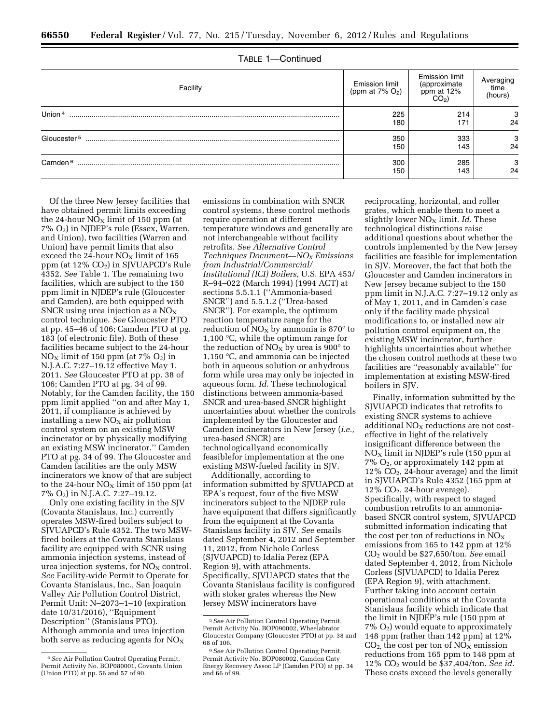| Facility                | <b>Emission limit</b><br>(ppm at $7\%$ O <sub>2</sub> ) | Emission limit<br>(approximate<br>ppm at $12\%$<br>CO <sub>2</sub> ) | Averaging<br>time<br>(hours) |  |
|-------------------------|---------------------------------------------------------|----------------------------------------------------------------------|------------------------------|--|
| Union $4$               | 225                                                     | 214                                                                  | 3                            |  |
|                         | 180                                                     | 171                                                                  | 24                           |  |
| Gloucester <sup>5</sup> | 350                                                     | 333                                                                  | 3                            |  |
|                         | 150                                                     | 143                                                                  | 24                           |  |
| Camden <sup>6</sup>     | 300                                                     | 285                                                                  | з                            |  |
|                         | 150                                                     | 143                                                                  | 24                           |  |

TABLE 1—Continued

Of the three New Jersey facilities that have obtained permit limits exceeding the 24-hour  $NO<sub>x</sub>$  limit of 150 ppm (at 7% O2) in NJDEP's rule (Essex, Warren, and Union), two facilities (Warren and Union) have permit limits that also exceed the 24-hour  $NO<sub>x</sub>$  limit of 165 ppm (at 12% CO<sub>2</sub>) in SJVUAPCD's Rule 4352. *See* Table 1. The remaining two facilities, which are subject to the 150 ppm limit in NJDEP's rule (Gloucester and Camden), are both equipped with SNCR using urea injection as a  $NO<sub>x</sub>$ control technique. *See* Gloucester PTO at pp. 45–46 of 106; Camden PTO at pg. 183 (of electronic file). Both of these facilities became subject to the 24-hour  $NO<sub>X</sub>$  limit of 150 ppm (at 7%  $O<sub>2</sub>$ ) in N.J.A.C. 7:27–19.12 effective May 1, 2011. *See* Gloucester PTO at pp. 38 of 106; Camden PTO at pg. 34 of 99. Notably, for the Camden facility, the 150 ppm limit applied ''on and after May 1, 2011, if compliance is achieved by installing a new  $NO<sub>x</sub>$  air pollution control system on an existing MSW incinerator or by physically modifying an existing MSW incinerator.'' Camden PTO at pg. 34 of 99. The Gloucester and Camden facilities are the only MSW incinerators we know of that are subject to the 24-hour  $NO<sub>X</sub>$  limit of 150 ppm (at 7% O2) in N.J.A.C. 7:27–19.12.

Only one existing facility in the SJV (Covanta Stanislaus, Inc.) currently operates MSW-fired boilers subject to SJVUAPCD's Rule 4352. The two MSWfired boilers at the Covanta Stanislaus facility are equipped with SCNR using ammonia injection systems, instead of urea injection systems, for  $NO<sub>x</sub>$  control. *See* Facility-wide Permit to Operate for Covanta Stanislaus, Inc., San Joaquin Valley Air Pollution Control District, Permit Unit: N–2073–1–10 (expiration date 10/31/2016), ''Equipment Description'' (Stanislaus PTO). Although ammonia and urea injection both serve as reducing agents for  $NO<sub>x</sub>$ 

emissions in combination with SNCR control systems, these control methods require operation at different temperature windows and generally are not interchangeable without facility retrofits. *See Alternative Control Techniques Document—NOX Emissions from Industrial/Commercial/ Institutional (ICI) Boilers,* U.S. EPA 453/ R–94–022 (March 1994) (1994 ACT) at sections 5.5.1.1 (''Ammonia-based SNCR'') and 5.5.1.2 (''Urea-based SNCR''). For example, the optimum reaction temperature range for the reduction of  $NO<sub>x</sub>$  by ammonia is 870 $^{\circ}$  to 1,100 °C, while the optimum range for the reduction of  $NO<sub>X</sub>$  by urea is 900 $^{\circ}$  to 1,150 °C, and ammonia can be injected both in aqueous solution or anhydrous form while urea may only be injected in aqueous form. *Id.* These technological distinctions between ammonia-based SNCR and urea-based SNCR highlight uncertainties about whether the controls implemented by the Gloucester and Camden incinerators in New Jersey (*i.e.,*  urea-based SNCR) are technologicallyand economically feasiblefor implementation at the one existing MSW-fueled facility in SJV.

Additionally, according to information submitted by SJVUAPCD at EPA's request, four of the five MSW incinerators subject to the NJDEP rule have equipment that differs significantly from the equipment at the Covanta Stanislaus facility in SJV. *See* emails dated September 4, 2012 and September 11, 2012, from Nichole Corless (SJVUAPCD) to Idalia Perez (EPA Region 9), with attachments. Specifically, SJVUAPCD states that the Covanta Stanislaus facility is configured with stoker grates whereas the New Jersey MSW incinerators have

reciprocating, horizontal, and roller grates, which enable them to meet a slightly lower NO<sub>x</sub> limit. *Id.* These technological distinctions raise additional questions about whether the controls implemented by the New Jersey facilities are feasible for implementation in SJV. Moreover, the fact that both the Gloucester and Camden incinerators in New Jersey became subject to the 150 ppm limit in N.J.A.C. 7:27–19.12 only as of May 1, 2011, and in Camden's case only if the facility made physical modifications to, or installed new air pollution control equipment on, the existing MSW incinerator, further highlights uncertainties about whether the chosen control methods at these two facilities are ''reasonably available'' for implementation at existing MSW-fired boilers in SJV.

Finally, information submitted by the SJVUAPCD indicates that retrofits to existing SNCR systems to achieve additional  $NO<sub>X</sub>$  reductions are not costeffective in light of the relatively insignificant difference between the  $NO<sub>x</sub>$  limit in NJDEP's rule (150 ppm at 7% O2, or approximately 142 ppm at  $12\%$  CO<sub>2</sub>, 24-hour average) and the limit in SJVUAPCD's Rule 4352 (165 ppm at  $12\%$  CO<sub>2</sub>, 24-hour average). Specifically, with respect to staged combustion retrofits to an ammoniabased SNCR control system, SJVUAPCD submitted information indicating that the cost per ton of reductions in  $NO<sub>X</sub>$ emissions from 165 to 142 ppm at 12% CO2 would be \$27,650/ton. *See* email dated September 4, 2012, from Nichole Corless (SJVUAPCD) to Idalia Perez (EPA Region 9), with attachment. Further taking into account certain operational conditions at the Covanta Stanislaus facility which indicate that the limit in NJDEP's rule (150 ppm at  $7\%$  O<sub>2</sub>) would equate to approximately 148 ppm (rather than 142 ppm) at 12%  $CO<sub>2</sub>$ , the cost per ton of  $NO<sub>X</sub>$  emission reductions from 165 ppm to 148 ppm at 12% CO2 would be \$37,404/ton. *See id.*  These costs exceed the levels generally

<sup>4</sup>*See* Air Pollution Control Operating Permit, Permit Activity No. BOP080001, Covanta Union (Union PTO) at pp. 56 and 57 of 90.

<sup>5</sup>*See* Air Pollution Control Operating Permit, Permit Activity No. BOP090002, Wheelabrator Gloucester Company (Gloucester PTO) at pp. 38 and 68 of 106.

<sup>6</sup>*See* Air Pollution Control Operating Permit, Permit Activity No. BOP080002, Camden Cnty Energy Recovery Assoc LP (Camden PTO) at pp. 34 and 66 of 99.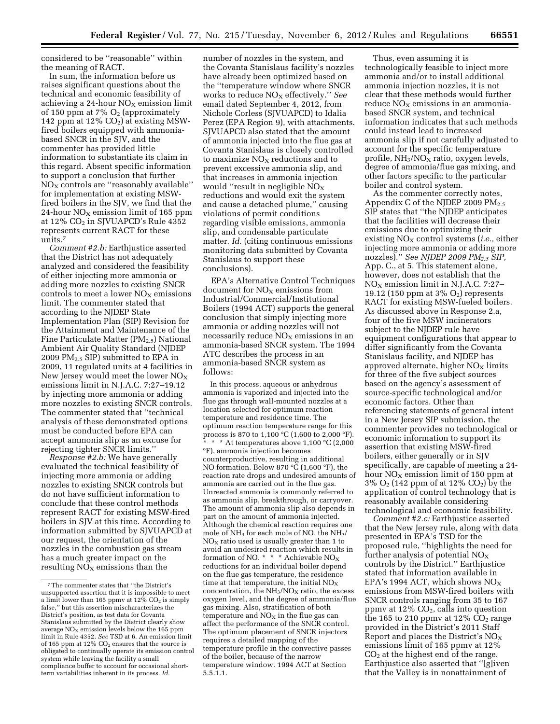considered to be ''reasonable'' within the meaning of RACT.

In sum, the information before us raises significant questions about the technical and economic feasibility of achieving a 24-hour  $NO<sub>x</sub>$  emission limit of 150 ppm at 7%  $O_2$  (approximately 142 ppm at  $12\%$  CO<sub>2</sub>) at existing MSWfired boilers equipped with ammoniabased SNCR in the SJV, and the commenter has provided little information to substantiate its claim in this regard. Absent specific information to support a conclusion that further  $NO<sub>X</sub>$  controls are "reasonably available" for implementation at existing MSWfired boilers in the SJV, we find that the 24-hour  $NO<sub>X</sub>$  emission limit of 165 ppm at 12% CO2 in SJVUAPCD's Rule 4352 represents current RACT for these units.7

*Comment #2.b:* Earthjustice asserted that the District has not adequately analyzed and considered the feasibility of either injecting more ammonia or adding more nozzles to existing SNCR controls to meet a lower  $NO<sub>X</sub>$  emissions limit. The commenter stated that according to the NJDEP State Implementation Plan (SIP) Revision for the Attainment and Maintenance of the Fine Particulate Matter ( $PM_{2.5}$ ) National Ambient Air Quality Standard (NJDEP 2009  $PM_{2.5}$  SIP) submitted to EPA in 2009, 11 regulated units at 4 facilities in New Jersey would meet the lower  $NO<sub>X</sub>$ emissions limit in N.J.A.C. 7:27–19.12 by injecting more ammonia or adding more nozzles to existing SNCR controls. The commenter stated that ''technical analysis of these demonstrated options must be conducted before EPA can accept ammonia slip as an excuse for rejecting tighter SNCR limits.''

*Response #2.b:* We have generally evaluated the technical feasibility of injecting more ammonia or adding nozzles to existing SNCR controls but do not have sufficient information to conclude that these control methods represent RACT for existing MSW-fired boilers in SJV at this time. According to information submitted by SJVUAPCD at our request, the orientation of the nozzles in the combustion gas stream has a much greater impact on the resulting  $NO<sub>x</sub>$  emissions than the

number of nozzles in the system, and the Covanta Stanislaus facility's nozzles have already been optimized based on the ''temperature window where SNCR works to reduce NO<sub>X</sub> effectively." See email dated September 4, 2012, from Nichole Corless (SJVUAPCD) to Idalia Perez (EPA Region 9), with attachments. SJVUAPCD also stated that the amount of ammonia injected into the flue gas at Covanta Stanislaus is closely controlled to maximize  $NO<sub>x</sub>$  reductions and to prevent excessive ammonia slip, and that increases in ammonia injection would "result in negligible  $NO<sub>x</sub>$ reductions and would exit the system and cause a detached plume,'' causing violations of permit conditions regarding visible emissions, ammonia slip, and condensable particulate matter. *Id.* (citing continuous emissions monitoring data submitted by Covanta Stanislaus to support these conclusions).

EPA's Alternative Control Techniques document for  $NO<sub>x</sub>$  emissions from Industrial/Commercial/Institutional Boilers (1994 ACT) supports the general conclusion that simply injecting more ammonia or adding nozzles will not necessarily reduce  $NO<sub>X</sub>$  emissions in an ammonia-based SNCR system. The 1994 ATC describes the process in an ammonia-based SNCR system as follows:

In this process, aqueous or anhydrous ammonia is vaporized and injected into the flue gas through wall-mounted nozzles at a location selected for optimum reaction temperature and residence time. The optimum reaction temperature range for this process is 870 to 1,100 °C (1,600 to 2,000 °F).  $^{\circ}$  \* \* At temperatures above 1,100 °C (2,000 °F), ammonia injection becomes counterproductive, resulting in additional NO formation. Below 870 °C (1,600 °F), the reaction rate drops and undesired amounts of ammonia are carried out in the flue gas. Unreacted ammonia is commonly referred to as ammonia slip, breakthrough, or carryover. The amount of ammonia slip also depends in part on the amount of ammonia injected. Although the chemical reaction requires one mole of NH3 for each mole of NO, the NH3/  $NO<sub>x</sub>$  ratio used is usually greater than 1 to avoid an undesired reaction which results in formation of NO. \* \* \* Achievable NOX reductions for an individual boiler depend on the flue gas temperature, the residence time at that temperature, the initial  $\rm{NO_{X}}$ concentration, the  $NH<sub>3</sub>/NO<sub>X</sub>$  ratio, the excess oxygen level, and the degree of ammonia/flue gas mixing. Also, stratification of both temperature and  $NO<sub>x</sub>$  in the flue gas can affect the performance of the SNCR control. The optimum placement of SNCR injectors requires a detailed mapping of the temperature profile in the convective passes of the boiler, because of the narrow temperature window. 1994 ACT at Section 5.5.1.1.

Thus, even assuming it is technologically feasible to inject more ammonia and/or to install additional ammonia injection nozzles, it is not clear that these methods would further  $reduce NO<sub>x</sub> emissions in an ammonia$ based SNCR system, and technical information indicates that such methods could instead lead to increased ammonia slip if not carefully adjusted to account for the specific temperature profile,  $NH<sub>3</sub>/NO<sub>X</sub>$  ratio, oxygen levels, degree of ammonia/flue gas mixing, and other factors specific to the particular boiler and control system.

As the commenter correctly notes, Appendix C of the NJDEP 2009  $PM_{2.5}$ SIP states that ''the NJDEP anticipates that the facilities will decrease their emissions due to optimizing their existing NO<sub>x</sub> control systems *(i.e., either*) injecting more ammonia or adding more nozzles).'' *See NJDEP 2009 PM2.5 SIP,*  App. C., at 5. This statement alone, however, does not establish that the  $NO<sub>X</sub>$  emission limit in N.J.A.C. 7:27– 19.12 (150 ppm at  $3\%$  O<sub>2</sub>) represents RACT for existing MSW-fueled boilers. As discussed above in Response 2.a, four of the five MSW incinerators subject to the NJDEP rule have equipment configurations that appear to differ significantly from the Covanta Stanislaus facility, and NJDEP has approved alternate, higher  $NO<sub>x</sub>$  limits for three of the five subject sources based on the agency's assessment of source-specific technological and/or economic factors. Other than referencing statements of general intent in a New Jersey SIP submission, the commenter provides no technological or economic information to support its assertion that existing MSW-fired boilers, either generally or in SJV specifically, are capable of meeting a 24 hour  $NO<sub>X</sub>$  emission limit of 150 ppm at 3% O2 (142 ppm of at 12% CO2) by the application of control technology that is reasonably available considering technological and economic feasibility.

*Comment #2.c:* Earthjustice asserted that the New Jersey rule, along with data presented in EPA's TSD for the proposed rule, ''highlights the need for further analysis of potential  $NO<sub>x</sub>$ controls by the District.'' Earthjustice stated that information available in EPA's 1994 ACT, which shows  $NO<sub>x</sub>$ emissions from MSW-fired boilers with SNCR controls ranging from 35 to 167 ppmv at  $12\%$  CO<sub>2</sub>, calls into question the 165 to 210 ppmv at 12%  $CO<sub>2</sub>$  range provided in the District's 2011 Staff Report and places the District's  $NO<sub>X</sub>$ emissions limit of 165 ppmv at 12%  $CO<sub>2</sub>$  at the highest end of the range. Earthjustice also asserted that ''[g]iven that the Valley is in nonattainment of

<sup>7</sup>The commenter states that ''the District's unsupported assertion that it is impossible to meet a limit lower than 165 ppmv at  $12\%$  CO<sub>2</sub> is simply false,'' but this assertion mischaracterizes the District's position, as test data for Covanta Stanislaus submitted by the District clearly show average  $NO<sub>x</sub>$  emission levels below the 165 ppm limit in Rule 4352. *See* TSD at 6. An emission limit of 165 ppm at 12% CO<sub>2</sub> ensures that the source is obligated to continually operate its emission control system while leaving the facility a small compliance buffer to account for occasional shortterm variabilities inherent in its process. *Id.*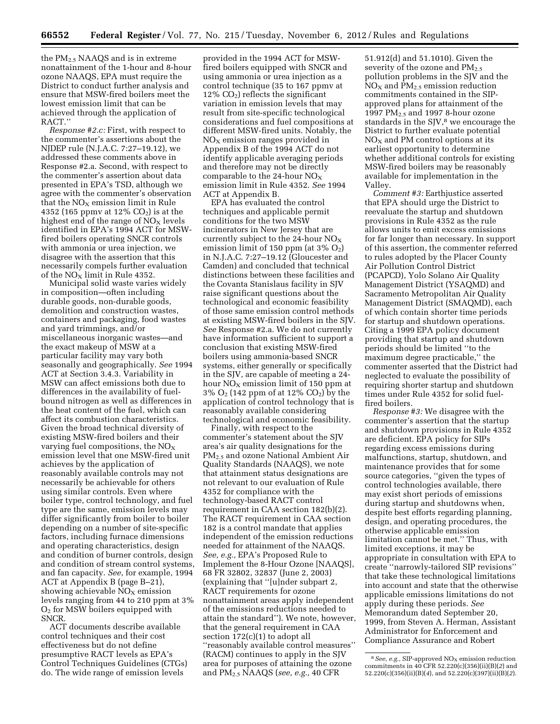the PM2.5 NAAQS and is in extreme nonattainment of the 1-hour and 8-hour ozone NAAQS, EPA must require the District to conduct further analysis and ensure that MSW-fired boilers meet the lowest emission limit that can be achieved through the application of RACT.''

*Response #2.c:* First, with respect to the commenter's assertions about the NJDEP rule (N.J.A.C. 7:27–19.12), we addressed these comments above in Response #2.a. Second, with respect to the commenter's assertion about data presented in EPA's TSD, although we agree with the commenter's observation that the  $NO<sub>x</sub>$  emission limit in Rule 4352 (165 ppmv at  $12\%$  CO<sub>2</sub>) is at the highest end of the range of  $NO<sub>x</sub>$  levels identified in EPA's 1994 ACT for MSWfired boilers operating SNCR controls with ammonia or urea injection, we disagree with the assertion that this necessarily compels further evaluation of the  $NO<sub>x</sub>$  limit in Rule 4352.

Municipal solid waste varies widely in composition—often including durable goods, non-durable goods, demolition and construction wastes, containers and packaging, food wastes and yard trimmings, and/or miscellaneous inorganic wastes—and the exact makeup of MSW at a particular facility may vary both seasonally and geographically. *See* 1994 ACT at Section 3.4.3. Variability in MSW can affect emissions both due to differences in the availability of fuelbound nitrogen as well as differences in the heat content of the fuel, which can affect its combustion characteristics. Given the broad technical diversity of existing MSW-fired boilers and their varying fuel compositions, the  $NO<sub>x</sub>$ emission level that one MSW-fired unit achieves by the application of reasonably available controls may not necessarily be achievable for others using similar controls. Even where boiler type, control technology, and fuel type are the same, emission levels may differ significantly from boiler to boiler depending on a number of site-specific factors, including furnace dimensions and operating characteristics, design and condition of burner controls, design and condition of stream control systems, and fan capacity. *See*, for example, 1994 ACT at Appendix B (page B–21), showing achievable  $NO<sub>X</sub>$  emission levels ranging from 44 to 210 ppm at 3%  $O<sub>2</sub>$  for MSW boilers equipped with SNCR.

ACT documents describe available control techniques and their cost effectiveness but do not define presumptive RACT levels as EPA's Control Techniques Guidelines (CTGs) do. The wide range of emission levels

provided in the 1994 ACT for MSWfired boilers equipped with SNCR and using ammonia or urea injection as a control technique (35 to 167 ppmv at  $12\%$  CO<sub>2</sub>) reflects the significant variation in emission levels that may result from site-specific technological considerations and fuel compositions at different MSW-fired units. Notably, the  $NO<sub>x</sub>$  emission ranges provided in Appendix B of the 1994 ACT do not identify applicable averaging periods and therefore may not be directly comparable to the 24-hour  $NO<sub>x</sub>$ emission limit in Rule 4352. *See* 1994 ACT at Appendix B.

EPA has evaluated the control techniques and applicable permit conditions for the two MSW incinerators in New Jersey that are currently subject to the 24-hour  $NO<sub>x</sub>$ emission limit of 150 ppm (at  $3\%$  O<sub>2</sub>) in N.J.A.C. 7:27–19.12 (Gloucester and Camden) and concluded that technical distinctions between these facilities and the Covanta Stanislaus facility in SJV raise significant questions about the technological and economic feasibility of those same emission control methods at existing MSW-fired boilers in the SJV. *See* Response #2.a. We do not currently have information sufficient to support a conclusion that existing MSW-fired boilers using ammonia-based SNCR systems, either generally or specifically in the SJV, are capable of meeting a 24 hour  $NO<sub>X</sub>$  emission limit of 150 ppm at 3% O2 (142 ppm of at 12% CO2) by the application of control technology that is reasonably available considering technological and economic feasibility.

Finally, with respect to the commenter's statement about the SJV area's air quality designations for the PM2.5 and ozone National Ambient Air Quality Standards (NAAQS), we note that attainment status designations are not relevant to our evaluation of Rule 4352 for compliance with the technology-based RACT control requirement in CAA section 182(b)(2). The RACT requirement in CAA section 182 is a control mandate that applies independent of the emission reductions needed for attainment of the NAAQS. *See, e.g.,* EPA's Proposed Rule to Implement the 8-Hour Ozone [NAAQS], 68 FR 32802, 32837 (June 2, 2003) (explaining that ''[u]nder subpart 2, RACT requirements for ozone nonattainment areas apply independent of the emissions reductions needed to attain the standard''). We note, however, that the general requirement in CAA section 172(c)(1) to adopt all ''reasonably available control measures'' (RACM) continues to apply in the SJV area for purposes of attaining the ozone and PM2.5 NAAQS (*see, e.g.,* 40 CFR

51.912(d) and 51.1010). Given the severity of the ozone and  $PM_{2.5}$ pollution problems in the SJV and the  $NO<sub>X</sub>$  and  $PM<sub>2.5</sub>$  emission reduction commitments contained in the SIPapproved plans for attainment of the 1997  $PM<sub>2.5</sub>$  and 1997 8-hour ozone standards in the SJV,<sup>8</sup> we encourage the District to further evaluate potential  $NO<sub>X</sub>$  and PM control options at its earliest opportunity to determine whether additional controls for existing MSW-fired boilers may be reasonably available for implementation in the Valley.

*Comment #3:* Earthjustice asserted that EPA should urge the District to reevaluate the startup and shutdown provisions in Rule 4352 as the rule allows units to emit excess emissions for far longer than necessary. In support of this assertion, the commenter referred to rules adopted by the Placer County Air Pollution Control District (PCAPCD), Yolo Solano Air Quality Management District (YSAQMD) and Sacramento Metropolitan Air Quality Management District (SMAQMD), each of which contain shorter time periods for startup and shutdown operations. Citing a 1999 EPA policy document providing that startup and shutdown periods should be limited ''to the maximum degree practicable,'' the commenter asserted that the District had neglected to evaluate the possibility of requiring shorter startup and shutdown times under Rule 4352 for solid fuelfired boilers.

*Response #3:* We disagree with the commenter's assertion that the startup and shutdown provisions in Rule 4352 are deficient. EPA policy for SIPs regarding excess emissions during malfunctions, startup, shutdown, and maintenance provides that for some source categories, ''given the types of control technologies available, there may exist short periods of emissions during startup and shutdowns when, despite best efforts regarding planning, design, and operating procedures, the otherwise applicable emission limitation cannot be met.'' Thus, with limited exceptions, it may be appropriate in consultation with EPA to create ''narrowly-tailored SIP revisions'' that take these technological limitations into account and state that the otherwise applicable emissions limitations do not apply during these periods. *See*  Memorandum dated September 20, 1999, from Steven A. Herman, Assistant Administrator for Enforcement and Compliance Assurance and Robert

<sup>&</sup>lt;sup>8</sup> See, e.g., SIP-approved NO<sub>X</sub> emission reduction commitments in 40 CFR 52.220(c)(356)(ii)(B)(*2*) and 52.220(c)(356)(ii)(B)(*4*), and 52.220(c)(397)(ii)(B)(*2*).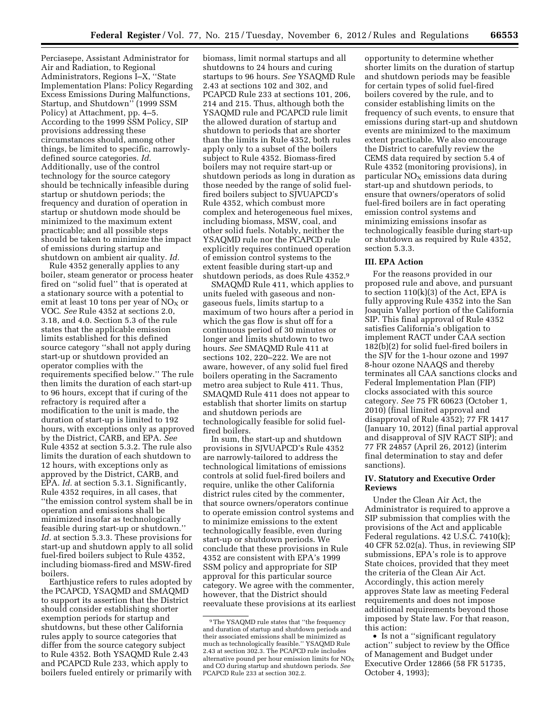Perciasepe, Assistant Administrator for Air and Radiation, to Regional Administrators, Regions I–X, ''State Implementation Plans: Policy Regarding Excess Emissions During Malfunctions, Startup, and Shutdown'' (1999 SSM Policy) at Attachment, pp. 4–5. According to the 1999 SSM Policy, SIP provisions addressing these circumstances should, among other things, be limited to specific, narrowlydefined source categories. *Id.*  Additionally, use of the control technology for the source category should be technically infeasible during startup or shutdown periods; the frequency and duration of operation in startup or shutdown mode should be minimized to the maximum extent practicable; and all possible steps should be taken to minimize the impact of emissions during startup and shutdown on ambient air quality. *Id.* 

Rule 4352 generally applies to any boiler, steam generator or process heater fired on ''solid fuel'' that is operated at a stationary source with a potential to emit at least 10 tons per year of  $NO_X$  or VOC. *See* Rule 4352 at sections 2.0, 3.18, and 4.0. Section 5.3 of the rule states that the applicable emission limits established for this defined source category ''shall not apply during start-up or shutdown provided an operator complies with the requirements specified below.'' The rule then limits the duration of each start-up to 96 hours, except that if curing of the refractory is required after a modification to the unit is made, the duration of start-up is limited to 192 hours, with exceptions only as approved by the District, CARB, and EPA. *See*  Rule 4352 at section 5.3.2. The rule also limits the duration of each shutdown to 12 hours, with exceptions only as approved by the District, CARB, and EPA. *Id.* at section 5.3.1. Significantly, Rule 4352 requires, in all cases, that ''the emission control system shall be in operation and emissions shall be minimized insofar as technologically feasible during start-up or shutdown.'' *Id.* at section 5.3.3. These provisions for start-up and shutdown apply to all solid fuel-fired boilers subject to Rule 4352, including biomass-fired and MSW-fired boilers.

Earthjustice refers to rules adopted by the PCAPCD, YSAQMD and SMAQMD to support its assertion that the District should consider establishing shorter exemption periods for startup and shutdowns, but these other California rules apply to source categories that differ from the source category subject to Rule 4352. Both YSAQMD Rule 2.43 and PCAPCD Rule 233, which apply to boilers fueled entirely or primarily with biomass, limit normal startups and all shutdowns to 24 hours and curing startups to 96 hours. *See* YSAQMD Rule 2.43 at sections 102 and 302, and PCAPCD Rule 233 at sections 101, 206, 214 and 215. Thus, although both the YSAQMD rule and PCAPCD rule limit the allowed duration of startup and shutdown to periods that are shorter than the limits in Rule 4352, both rules apply only to a subset of the boilers subject to Rule 4352. Biomass-fired boilers may not require start-up or shutdown periods as long in duration as those needed by the range of solid fuelfired boilers subject to SJVUAPCD's Rule 4352, which combust more complex and heterogeneous fuel mixes, including biomass, MSW, coal, and other solid fuels. Notably, neither the YSAQMD rule nor the PCAPCD rule explicitly requires continued operation of emission control systems to the extent feasible during start-up and shutdown periods, as does Rule 4352.9

SMAQMD Rule 411, which applies to units fueled with gaseous and nongaseous fuels, limits startup to a maximum of two hours after a period in which the gas flow is shut off for a continuous period of 30 minutes or longer and limits shutdown to two hours. *See* SMAQMD Rule 411 at sections 102, 220–222. We are not aware, however, of any solid fuel fired boilers operating in the Sacramento metro area subject to Rule 411. Thus, SMAQMD Rule 411 does not appear to establish that shorter limits on startup and shutdown periods are technologically feasible for solid fuelfired boilers.

In sum, the start-up and shutdown provisions in SJVUAPCD's Rule 4352 are narrowly-tailored to address the technological limitations of emissions controls at solid fuel-fired boilers and require, unlike the other California district rules cited by the commenter, that source owners/operators continue to operate emission control systems and to minimize emissions to the extent technologically feasible, even during start-up or shutdown periods. We conclude that these provisions in Rule 4352 are consistent with EPA's 1999 SSM policy and appropriate for SIP approval for this particular source category. We agree with the commenter, however, that the District should reevaluate these provisions at its earliest

opportunity to determine whether shorter limits on the duration of startup and shutdown periods may be feasible for certain types of solid fuel-fired boilers covered by the rule, and to consider establishing limits on the frequency of such events, to ensure that emissions during start-up and shutdown events are minimized to the maximum extent practicable. We also encourage the District to carefully review the CEMS data required by section 5.4 of Rule 4352 (monitoring provisions), in particular  $NO<sub>x</sub>$  emissions data during start-up and shutdown periods, to ensure that owners/operators of solid fuel-fired boilers are in fact operating emission control systems and minimizing emissions insofar as technologically feasible during start-up or shutdown as required by Rule 4352, section 5.3.3.

#### **III. EPA Action**

For the reasons provided in our proposed rule and above, and pursuant to section  $110(k)(3)$  of the Act, EPA is fully approving Rule 4352 into the San Joaquin Valley portion of the California SIP. This final approval of Rule 4352 satisfies California's obligation to implement RACT under CAA section 182(b)(2) for solid fuel-fired boilers in the SJV for the 1-hour ozone and 1997 8-hour ozone NAAQS and thereby terminates all CAA sanctions clocks and Federal Implementation Plan (FIP) clocks associated with this source category. *See* 75 FR 60623 (October 1, 2010) (final limited approval and disapproval of Rule 4352); 77 FR 1417 (January 10, 2012) (final partial approval and disapproval of SJV RACT SIP); and 77 FR 24857 (April 26, 2012) (interim final determination to stay and defer sanctions).

## **IV. Statutory and Executive Order Reviews**

Under the Clean Air Act, the Administrator is required to approve a SIP submission that complies with the provisions of the Act and applicable Federal regulations. 42 U.S.C. 7410(k); 40 CFR 52.02(a). Thus, in reviewing SIP submissions, EPA's role is to approve State choices, provided that they meet the criteria of the Clean Air Act. Accordingly, this action merely approves State law as meeting Federal requirements and does not impose additional requirements beyond those imposed by State law. For that reason, this action:

• Is not a ''significant regulatory action'' subject to review by the Office of Management and Budget under Executive Order 12866 (58 FR 51735, October 4, 1993);

<sup>9</sup>The YSAQMD rule states that ''the frequency and duration of startup and shutdown periods and their associated emissions shall be minimized as much as technologically feasible.'' YSAQMD Rule 2.43 at section 302.3. The PCAPCD rule includes alternative pound per hour emission limits for  $NO<sub>x</sub>$ and CO during startup and shutdown periods. *See*  PCAPCD Rule 233 at section 302.2.